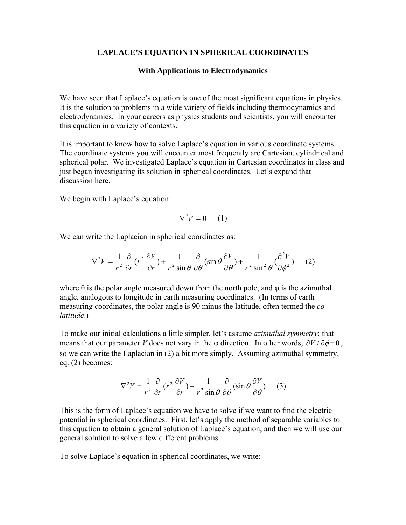## **LAPLACE'S EQUATION IN SPHERICAL COORDINATES**

### **With Applications to Electrodynamics**

We have seen that Laplace's equation is one of the most significant equations in physics. It is the solution to problems in a wide variety of fields including thermodynamics and electrodynamics. In your careers as physics students and scientists, you will encounter this equation in a variety of contexts.

It is important to know how to solve Laplace's equation in various coordinate systems. The coordinate systems you will encounter most frequently are Cartesian, cylindrical and spherical polar. We investigated Laplace's equation in Cartesian coordinates in class and just began investigating its solution in spherical coordinates. Let's expand that discussion here.

We begin with Laplace's equation:

$$
\nabla^2 V = 0 \qquad (1)
$$

We can write the Laplacian in spherical coordinates as:

$$
\nabla^2 V = \frac{1}{r^2} \frac{\partial}{\partial r} (r^2 \frac{\partial V}{\partial r}) + \frac{1}{r^2 \sin \theta} \frac{\partial}{\partial \theta} (\sin \theta \frac{\partial V}{\partial \theta}) + \frac{1}{r^2 \sin^2 \theta} (\frac{\partial^2 V}{\partial \phi^2})
$$
 (2)

where  $\theta$  is the polar angle measured down from the north pole, and  $\varphi$  is the azimuthal angle, analogous to longitude in earth measuring coordinates. (In terms of earth measuring coordinates, the polar angle is 90 minus the latitude, often termed the *colatitude*.)

To make our initial calculations a little simpler, let's assume *azimuthal symmetry*; that means that our parameter *V* does not vary in the φ direction. In other words,  $\partial V / \partial \phi = 0$ , so we can write the Laplacian in (2) a bit more simply. Assuming azimuthal symmetry, eq. (2) becomes:

$$
\nabla^2 V = \frac{1}{r^2} \frac{\partial}{\partial r} (r^2 \frac{\partial V}{\partial r}) + \frac{1}{r^2 \sin \theta} \frac{\partial}{\partial \theta} (\sin \theta \frac{\partial V}{\partial \theta}) \tag{3}
$$

This is the form of Laplace's equation we have to solve if we want to find the electric potential in spherical coordinates. First, let's apply the method of separable variables to this equation to obtain a general solution of Laplace's equation, and then we will use our general solution to solve a few different problems.

To solve Laplace's equation in spherical coordinates, we write: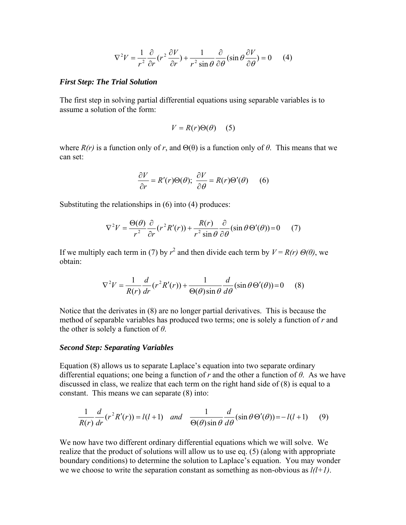$$
\nabla^2 V = \frac{1}{r^2} \frac{\partial}{\partial r} (r^2 \frac{\partial V}{\partial r}) + \frac{1}{r^2 \sin \theta} \frac{\partial}{\partial \theta} (\sin \theta \frac{\partial V}{\partial \theta}) = 0 \quad (4)
$$

### *First Step: The Trial Solution*

The first step in solving partial differential equations using separable variables is to assume a solution of the form:

$$
V = R(r)\Theta(\theta) \quad (5)
$$

where  $R(r)$  is a function only of r, and  $\Theta(\theta)$  is a function only of  $\theta$ . This means that we can set:

$$
\frac{\partial V}{\partial r} = R'(r)\Theta(\theta); \ \frac{\partial V}{\partial \theta} = R(r)\Theta'(\theta) \tag{6}
$$

Substituting the relationships in (6) into (4) produces:

$$
\nabla^2 V = \frac{\Theta(\theta)}{r^2} \frac{\partial}{\partial r} (r^2 R'(r)) + \frac{R(r)}{r^2 \sin \theta} \frac{\partial}{\partial \theta} (\sin \theta \Theta'(\theta)) = 0 \tag{7}
$$

If we multiply each term in (7) by  $r^2$  and then divide each term by  $V = R(r) \Theta(\theta)$ , we obtain:

$$
\nabla^2 V = \frac{1}{R(r)} \frac{d}{dr} (r^2 R'(r)) + \frac{1}{\Theta(\theta) \sin \theta} \frac{d}{d\theta} (\sin \theta \Theta'(\theta)) = 0 \quad (8)
$$

Notice that the derivates in (8) are no longer partial derivatives. This is because the method of separable variables has produced two terms; one is solely a function of *r* and the other is solely a function of *θ*.

### *Second Step: Separating Variables*

Equation (8) allows us to separate Laplace's equation into two separate ordinary differential equations; one being a function of *r* and the other a function of *θ*. As we have discussed in class, we realize that each term on the right hand side of (8) is equal to a constant. This means we can separate (8) into:

$$
\frac{1}{R(r)}\frac{d}{dr}(r^2R'(r)) = l(l+1) \quad \text{and} \quad \frac{1}{\Theta(\theta)\sin\theta}\frac{d}{d\theta}(\sin\theta\Theta'(\theta)) = -l(l+1) \tag{9}
$$

We now have two different ordinary differential equations which we will solve. We realize that the product of solutions will allow us to use eq. (5) (along with appropriate boundary conditions) to determine the solution to Laplace's equation. You may wonder we we choose to write the separation constant as something as non-obvious as *l(l+1)*.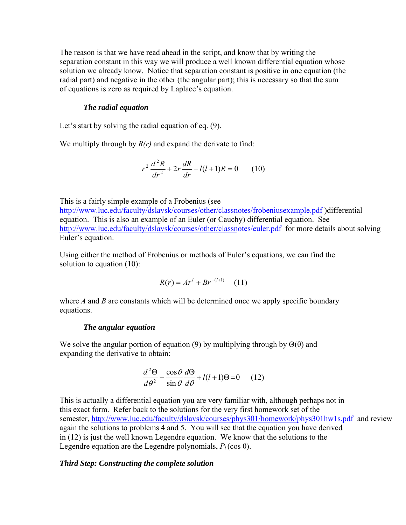The reason is that we have read ahead in the script, and know that by writing the separation constant in this way we will produce a well known differential equation whose solution we already know. Notice that separation constant is positive in one equation (the radial part) and negative in the other (the angular part); this is necessary so that the sum of equations is zero as required by Laplace's equation.

## *The radial equation*

Let's start by solving the radial equation of eq. (9).

We multiply through by *R(r)* and expand the derivate to find:

$$
r^{2} \frac{d^{2} R}{dr^{2}} + 2r \frac{dR}{dr} - l(l+1)R = 0 \qquad (10)
$$

This is a fairly simple example of a Frobenius (see [http://www.luc.edu/faculty/dslavsk/](http://www.luc.edu/faculty/dslavsk/courses/other/classnotes/frobeniusexample.pdf)courses/other/classnotes/frobeniusexample.pdf )differential equation. This is also an example of an Euler (or Cauchy) differential equation. See [http://www.luc.edu/faculty/dslavsk/](http://www.luc.edu/faculty/dslavsk/courses/other/classnotes/euler.pdf)courses/other/classnotes/euler.pdf for more details about solving Euler's equation.

Using either the method of Frobenius or methods of Euler's equations, we can find the solution to equation (10):

$$
R(r) = Ar^{l} + Br^{-(l+1)} \quad (11)
$$

where *A* and *B* are constants which will be determined once we apply specific boundary equations.

### *The angular equation*

We solve the angular portion of equation (9) by multiplying through by  $\Theta(\theta)$  and expanding the derivative to obtain:

$$
\frac{d^2\Theta}{d\theta^2} + \frac{\cos\theta}{\sin\theta}\frac{d\Theta}{d\theta} + l(l+1)\Theta = 0 \qquad (12)
$$

This is actually a differential equation you are very familiar with, although perhaps not in this exact form. Refer back to the solutions for the very first homework set of the semester, [http://www.luc.edu/faculty/dslavsk/](http://www.luc.edu/faculty/dslavsk/courses/phys301/homework/phys301hw1s.pdf)courses/phys301/homework/phys301hw1s.pdf and review again the solutions to problems 4 and 5. You will see that the equation you have derived in (12) is just the well known Legendre equation. We know that the solutions to the Legendre equation are the Legendre polynomials,  $P_l(\cos \theta)$ .

# *Third Step: Constructing the complete solution*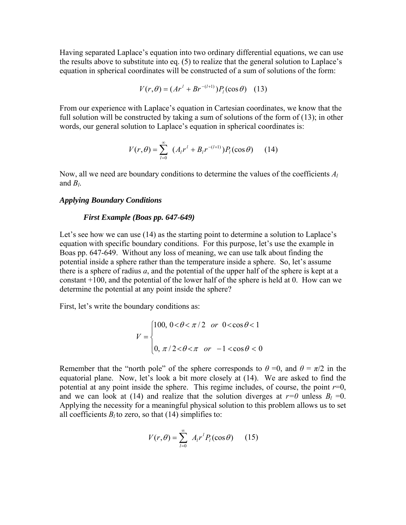Having separated Laplace's equation into two ordinary differential equations, we can use the results above to substitute into eq. (5) to realize that the general solution to Laplace's equation in spherical coordinates will be constructed of a sum of solutions of the form:

$$
V(r,\theta) = (Ar^{l} + Br^{-(l+1)})P_{l}(\cos\theta)
$$
 (13)

From our experience with Laplace's equation in Cartesian coordinates, we know that the full solution will be constructed by taking a sum of solutions of the form of (13); in other words, our general solution to Laplace's equation in spherical coordinates is:

$$
V(r,\theta) = \sum_{l=0}^{\infty} (A_l r^l + B_l r^{-(l+1)}) P_l(\cos \theta)
$$
 (14)

Now, all we need are boundary conditions to determine the values of the coefficients *Al* and  $B_l$ .

## *Applying Boundary Conditions*

### *First Example (Boas pp. 647-649)*

Let's see how we can use (14) as the starting point to determine a solution to Laplace's equation with specific boundary conditions. For this purpose, let's use the example in Boas pp. 647-649. Without any loss of meaning, we can use talk about finding the potential inside a sphere rather than the temperature inside a sphere. So, let's assume there is a sphere of radius *a*, and the potential of the upper half of the sphere is kept at a constant +100, and the potential of the lower half of the sphere is held at 0. How can we determine the potential at any point inside the sphere?

First, let's write the boundary conditions as:

$$
V = \begin{cases} 100, & 0 < \theta < \pi/2 \quad \text{or} \quad 0 < \cos \theta < 1 \\ 0, & \pi/2 < \theta < \pi \quad \text{or} \quad -1 < \cos \theta < 0 \end{cases}
$$

Remember that the "north pole" of the sphere corresponds to  $\theta = 0$ , and  $\theta = \pi/2$  in the equatorial plane. Now, let's look a bit more closely at (14). We are asked to find the potential at any point inside the sphere. This regime includes, of course, the point  $r=0$ , and we can look at (14) and realize that the solution diverges at  $r=0$  unless  $B_l = 0$ . Applying the necessity for a meaningful physical solution to this problem allows us to set all coefficients  $B_l$  to zero, so that (14) simplifies to:

$$
V(r,\theta) = \sum_{l=0}^{\infty} A_l r^l P_l(\cos \theta) \qquad (15)
$$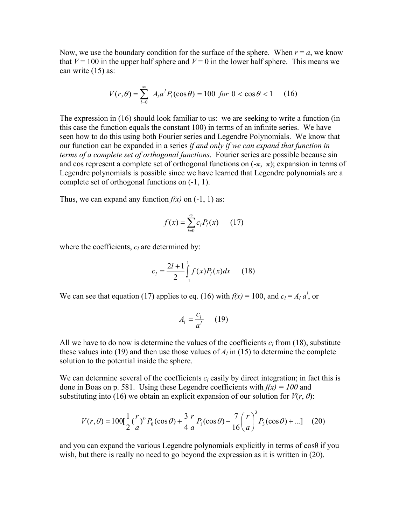Now, we use the boundary condition for the surface of the sphere. When  $r = a$ , we know that  $V = 100$  in the upper half sphere and  $V = 0$  in the lower half sphere. This means we can write (15) as:

$$
V(r,\theta) = \sum_{l=0}^{\infty} A_l a^l P_l(\cos \theta) = 100 \text{ for } 0 < \cos \theta < 1 \tag{16}
$$

The expression in (16) should look familiar to us: we are seeking to write a function (in this case the function equals the constant 100) in terms of an infinite series. We have seen how to do this using both Fourier series and Legendre Polynomials. We know that our function can be expanded in a series *if and only if we can expand that function in terms of a complete set of orthogonal functions*. Fourier series are possible because sin and cos represent a complete set of orthogonal functions on  $(-\pi, \pi)$ ; expansion in terms of Legendre polynomials is possible since we have learned that Legendre polynomials are a complete set of orthogonal functions on (-1, 1).

Thus, we can expand any function  $f(x)$  on  $(-1, 1)$  as:

$$
f(x) = \sum_{l=0}^{\infty} c_l P_l(x) \qquad (17)
$$

where the coefficients,  $c_l$  are determined by:

$$
c_{l} = \frac{2l+1}{2} \int_{-1}^{1} f(x)P_{l}(x)dx \qquad (18)
$$

We can see that equation (17) applies to eq. (16) with  $f(x) = 100$ , and  $c_l = A_l a^l$ , or

$$
A_l = \frac{c_l}{a^l} \qquad (19)
$$

All we have to do now is determine the values of the coefficients  $c_l$  from (18), substitute these values into (19) and then use those values of  $A_l$  in (15) to determine the complete solution to the potential inside the sphere.

We can determine several of the coefficients  $c_l$  easily by direct integration; in fact this is done in Boas on p. 581. Using these Legendre coefficients with  $f(x) = 100$  and substituting into (16) we obtain an explicit expansion of our solution for  $V(r, \theta)$ :

$$
V(r,\theta) = 100[\frac{1}{2}(\frac{r}{a})^0 P_0(\cos\theta) + \frac{3}{4}\frac{r}{a}P_1(\cos\theta) - \frac{7}{16}(\frac{r}{a})^3 P_3(\cos\theta) + ...]
$$
 (20)

and you can expand the various Legendre polynomials explicitly in terms of cosθ if you wish, but there is really no need to go beyond the expression as it is written in  $(20)$ .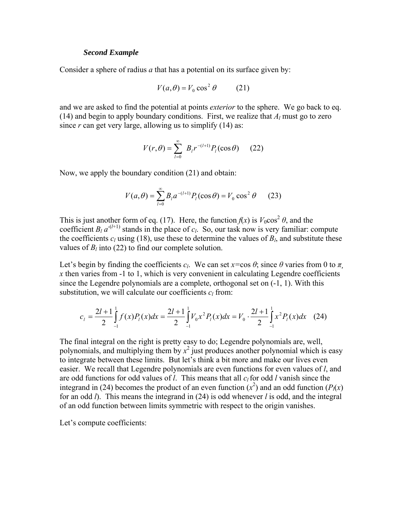### *Second Example*

Consider a sphere of radius *a* that has a potential on its surface given by:

$$
V(a,\theta) = V_0 \cos^2 \theta \qquad (21)
$$

and we are asked to find the potential at points *exterior* to the sphere. We go back to eq. (14) and begin to apply boundary conditions. First, we realize that  $A_l$  must go to zero since  $r$  can get very large, allowing us to simplify  $(14)$  as:

$$
V(r,\theta) = \sum_{l=0}^{\infty} B_l r^{-(l+1)} P_l(\cos \theta)
$$
 (22)

Now, we apply the boundary condition (21) and obtain:

$$
V(a,\theta) = \sum_{l=0}^{\infty} B_l a^{-(l+1)} P_l(\cos \theta) = V_0 \cos^2 \theta \qquad (23)
$$

This is just another form of eq. (17). Here, the function  $f(x)$  is  $V_0 \cos^2 \theta$ , and the coefficient  $B_l a^{-(l+1)}$  stands in the place of  $c_l$ . So, our task now is very familiar: compute the coefficients  $c_l$  using (18), use these to determine the values of  $B_l$ , and substitute these values of  $B_l$  into (22) to find our complete solution.

Let's begin by finding the coefficients  $c_l$ . We can set  $x = \cos \theta$ ; since  $\theta$  varies from 0 to  $\pi$ . *x* then varies from -1 to 1, which is very convenient in calculating Legendre coefficients since the Legendre polynomials are a complete, orthogonal set on (-1, 1). With this substitution, we will calculate our coefficients  $c_l$  from:

$$
c_{l} = \frac{2l+1}{2} \int_{-1}^{1} f(x)P_{l}(x)dx = \frac{2l+1}{2} \int_{-1}^{1} V_{0}x^{2}P_{l}(x)dx = V_{0} \cdot \frac{2l+1}{2} \int_{-1}^{1} x^{2}P_{l}(x)dx \quad (24)
$$

The final integral on the right is pretty easy to do; Legendre polynomials are, well, polynomials, and multiplying them by  $x^2$  just produces another polynomial which is easy to integrate between these limits. But let's think a bit more and make our lives even easier. We recall that Legendre polynomials are even functions for even values of *l*, and are odd functions for odd values of *l*. This means that all  $c_l$  for odd *l* vanish since the integrand in (24) becomes the product of an even function  $(x^2)$  and an odd function  $(P_1(x))$ for an odd *l*). This means the integrand in (24) is odd whenever *l* is odd, and the integral of an odd function between limits symmetric with respect to the origin vanishes.

Let's compute coefficients: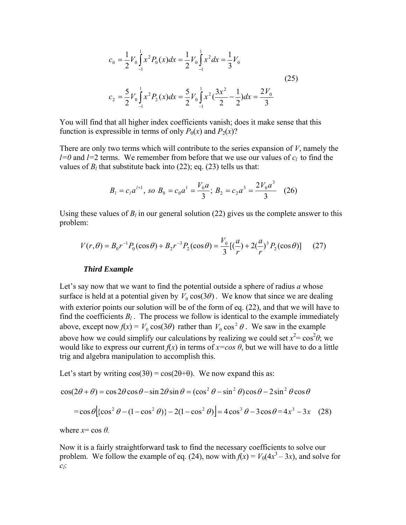$$
c_0 = \frac{1}{2} V_0 \int_{-1}^{1} x^2 P_0(x) dx = \frac{1}{2} V_0 \int_{-1}^{1} x^2 dx = \frac{1}{3} V_0
$$
  
(25)  

$$
c_2 = \frac{5}{2} V_0 \int_{-1}^{1} x^2 P_2(x) dx = \frac{5}{2} V_0 \int_{-1}^{1} x^2 (\frac{3x^2}{2} - \frac{1}{2}) dx = \frac{2V_0}{3}
$$

You will find that all higher index coefficients vanish; does it make sense that this function is expressible in terms of only  $P_0(x)$  and  $P_2(x)$ ?

There are only two terms which will contribute to the series expansion of *V*, namely the *l*=0 and *l*=2 terms. We remember from before that we use our values of  $c_l$  to find the values of  $B_l$  that substitute back into (22); eq. (23) tells us that:

$$
B_l = c_l a^{l+1}
$$
, so  $B_0 = c_0 a^1 = \frac{V_0 a}{3}$ ;  $B_2 = c_2 a^3 = \frac{2V_0 a^3}{3}$  (26)

Using these values of  $B_l$  in our general solution (22) gives us the complete answer to this problem:

$$
V(r,\theta) = B_0 r^{-1} P_0(\cos \theta) + B_2 r^{-3} P_2(\cos \theta) = \frac{V_0}{3} [(\frac{a}{r}) + 2(\frac{a}{r})^3 P_2(\cos \theta)] \tag{27}
$$

#### *Third Example*

Let's say now that we want to find the potential outside a sphere of radius *a* whose surface is held at a potential given by  $V_0 \cos(3\theta)$ . We know that since we are dealing with exterior points our solution will be of the form of eq. (22), and that we will have to find the coefficients  $B_l$ . The process we follow is identical to the example immediately above, except now  $f(x) = V_0 \cos(3\theta)$  rather than  $V_0 \cos^2 \theta$ . We saw in the example above how we could simplify our calculations by realizing we could set  $x^2 = \cos^2 \theta$ ; we would like to express our current  $f(x)$  in terms of  $x = cos \theta$ , but we will have to do a little trig and algebra manipulation to accomplish this.

Let's start by writing  $cos(3\theta) = cos(2\theta + \theta)$ . We now expand this as:

$$
\cos(2\theta + \theta) = \cos 2\theta \cos \theta - \sin 2\theta \sin \theta = (\cos^2 \theta - \sin^2 \theta) \cos \theta - 2\sin^2 \theta \cos \theta
$$

$$
= \cos \theta \left[ \left\{ \cos^2 \theta - (1 - \cos^2 \theta) \right\} - 2(1 - \cos^2 \theta) \right] = 4\cos^3 \theta - 3\cos \theta = 4x^3 - 3x \quad (28)
$$

where  $x = \cos \theta$ .

Now it is a fairly straightforward task to find the necessary coefficients to solve our problem. We follow the example of eq. (24), now with  $f(x) = V_0(4x^3 - 3x)$ , and solve for *cl*: